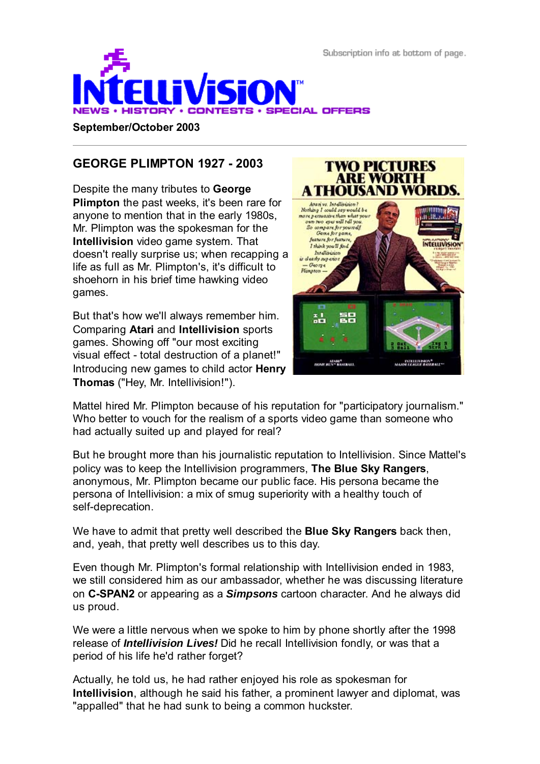

#### **September/October 2003**

## **GEORGE PLIMPTON 1927 - 2003**

Despite the many tributes to **George Plimpton** the past weeks, it's been rare for anyone to mention that in the early 1980s, Mr. Plimpton was the spokesman for the **Intellivision** video game system. That doesn't really surprise us; when recapping a life as full as Mr. Plimpton's, it's difficult to shoehorn in his brief time hawking video games.

But that's how we'll always remember him. Comparing **Atari** and **Intellivision** sports games. Showing off "our most exciting visual effect - total destruction of a planet!" Introducing new games to child actor **Henry Thomas** ("Hey, Mr. Intellivision!").



**TWO PICTURES** 

Mattel hired Mr. Plimpton because of his reputation for "participatory journalism." Who better to vouch for the realism of a sports video game than someone who had actually suited up and played for real?

But he brought more than his journalistic reputation to Intellivision. Since Mattel's policy was to keep the Intellivision programmers, **The Blue Sky Rangers**, anonymous, Mr. Plimpton became our public face. His persona became the persona of Intellivision: a mix of smug superiority with a healthy touch of self-deprecation.

We have to admit that pretty well described the **Blue Sky Rangers** back then, and, yeah, that pretty well describes us to this day.

Even though Mr. Plimpton's formal relationship with Intellivision ended in 1983, we still considered him as our ambassador, whether he was discussing literature on **C-SPAN2** or appearing as a *Simpsons* cartoon character. And he always did us proud.

We were a little nervous when we spoke to him by phone shortly after the 1998 release of *Intellivision Lives!* Did he recall Intellivision fondly, or was that a period of his life he'd rather forget?

Actually, he told us, he had rather enjoyed his role as spokesman for **Intellivision**, although he said his father, a prominent lawyer and diplomat, was "appalled" that he had sunk to being a common huckster.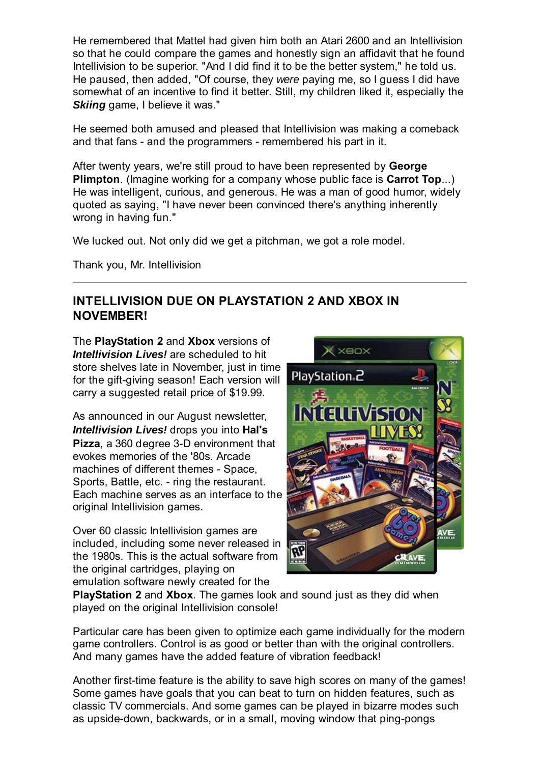He remembered that Mattel had given him both an Atari 2600 and an Intellivision so that he could compare the games and honestly sign an affidavit that he found Intellivision to be superior. "And I did find it to be the better system," he told us. He paused, then added, "Of course, they *were* paying me, so I guess I did have somewhat of an incentive to find it better. Still, my children liked it, especially the *Skiing* game, I believe it was."

He seemed both amused and pleased that Intellivision was making a comeback and that fans - and the programmers - remembered his part in it.

After twenty years, we're still proud to have been represented by **George Plimpton**. (Imagine working for a company whose public face is **Carrot Top**...) He was intelligent, curious, and generous. He was a man of good humor, widely quoted as saying, "I have never been convinced there's anything inherently wrong in having fun."

We lucked out. Not only did we get a pitchman, we got a role model.

Thank you, Mr. Intellivision

## **INTELLIVISION DUE ON PLAYSTATION 2 AND XBOX IN NOVEMBER!**

The **PlayStation 2** and **Xbox** versions of *Intellivision Lives!* are scheduled to hit store shelves late in November, just in time for the gift-giving season! Each version will carry a suggested retail price of \$19.99.

As announced in our August newsletter, *Intellivision Lives!* drops you into **Hal's Pizza**, a 360 degree 3-D environment that evokes memories of the '80s. Arcade machines of different themes - Space, Sports, Battle, etc. - ring the restaurant. Each machine serves as an interface to the original Intellivision games.

Over 60 classic Intellivision games are included, including some never released in the 1980s. This is the actual software from the original cartridges, playing on emulation software newly created for the



**PlayStation 2** and **Xbox**. The games look and sound just as they did when played on the original Intellivision console!

Particular care has been given to optimize each game individually for the modern game controllers. Control is as good or better than with the original controllers. And many games have the added feature of vibration feedback!

Another first-time feature is the ability to save high scores on many of the games! Some games have goals that you can beat to turn on hidden features, such as classic TV commercials. And some games can be played in bizarre modes such as upside-down, backwards, or in a small, moving window that ping-pongs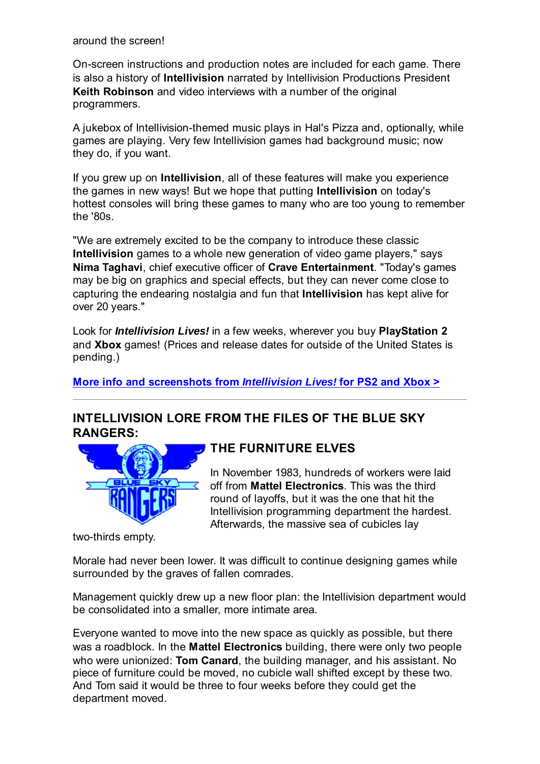around the screen!

On-screen instructions and production notes are included for each game. There is also a history of **Intellivision** narrated by Intellivision Productions President **Keith Robinson** and video interviews with a number of the original programmers.

A jukebox of Intellivision-themed music plays in Hal's Pizza and, optionally, while games are playing. Very few Intellivision games had background music; now they do, if you want.

If you grew up on **Intellivision**, all of these features will make you experience the games in new ways! But we hope that putting **Intellivision** on today's hottest consoles will bring these games to many who are too young to remember the '80s.

"We are extremely excited to be the company to introduce these classic **Intellivision** games to a whole new generation of video game players," says **Nima Taghavi**, chief executive officer of **Crave Entertainment**. "Today's games may be big on graphics and special effects, but they can never come close to capturing the endearing nostalgia and fun that **Intellivision** has kept alive for over 20 years."

Look for *Intellivision Lives!* in a few weeks, wherever you buy **PlayStation 2** and **Xbox** games! (Prices and release dates for outside of the United States is pending.)

**More info and screenshots from** *Intellivision Lives!* **for PS2 and Xbox >**

## **INTELLIVISION LORE FROM THE FILES OF THE BLUE SKY RANGERS:**



## **THE FURNITURE ELVES**

In November 1983, hundreds of workers were laid off from **Mattel Electronics**. This was the third round of layoffs, but it was the one that hit the Intellivision programming department the hardest. Afterwards, the massive sea of cubicles lay

two-thirds empty.

Morale had never been lower. It was difficult to continue designing games while surrounded by the graves of fallen comrades.

Management quickly drew up a new floor plan: the Intellivision department would be consolidated into a smaller, more intimate area.

Everyone wanted to move into the new space as quickly as possible, but there was a roadblock. In the **Mattel Electronics** building, there were only two people who were unionized: **Tom Canard**, the building manager, and his assistant. No piece of furniture could be moved, no cubicle wall shifted except by these two. And Tom said it would be three to four weeks before they could get the department moved.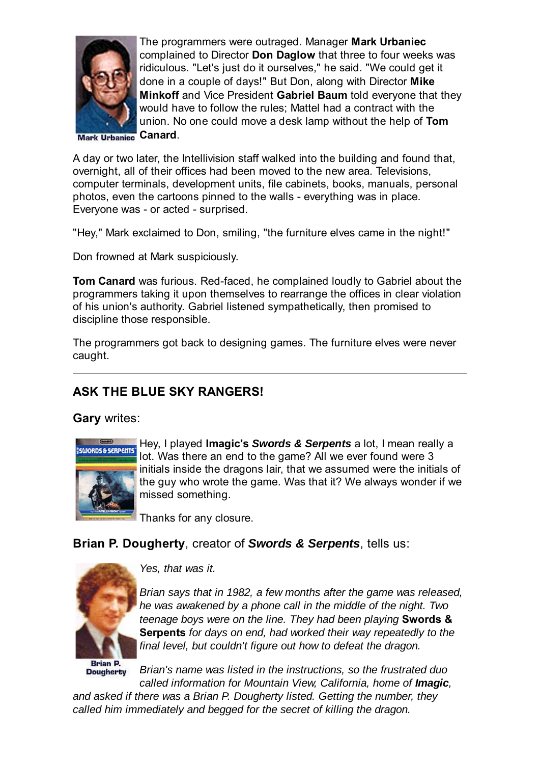

The programmers were outraged. Manager **Mark Urbaniec** complained to Director **Don Daglow** that three to four weeks was ridiculous. "Let's just do it ourselves," he said. "We could get it done in a couple of days!" But Don, along with Director **Mike Minkoff** and Vice President **Gabriel Baum** told everyone that they would have to follow the rules; Mattel had a contract with the union. No one could move a desk lamp without the help of **Tom Canard**.

**Mark Urbaniec** 

A day or two later, the Intellivision staff walked into the building and found that, overnight, all of their offices had been moved to the new area. Televisions, computer terminals, development units, file cabinets, books, manuals, personal photos, even the cartoons pinned to the walls - everything was in place. Everyone was - or acted - surprised.

"Hey," Mark exclaimed to Don, smiling, "the furniture elves came in the night!"

Don frowned at Mark suspiciously.

**Tom Canard** was furious. Red-faced, he complained loudly to Gabriel about the programmers taking it upon themselves to rearrange the offices in clear violation of his union's authority. Gabriel listened sympathetically, then promised to discipline those responsible.

The programmers got back to designing games. The furniture elves were never caught.

# **ASK THE BLUE SKY RANGERS!**

**Gary** writes:



Hey, I played **Imagic's** *Swords & Serpents* a lot, I mean really a lot. Was there an end to the game? All we ever found were 3 initials inside the dragons lair, that we assumed were the initials of the guy who wrote the game. Was that it? We always wonder if we missed something.

Thanks for any closure.

## **Brian P. Dougherty**, creator of *Swords & Serpents*, tells us:



*Yes, that was it.*

*Brian says that in 1982, a few months after the game was released, he was awakened by a phone call in the middle of the night. Two teenage boys were on the line. They had been playing* **Swords & Serpents** *for days on end, had worked their way repeatedly to the final level, but couldn't figure out how to defeat the dragon.*

**Reign D Dougherty** 

*Brian's name was listed in the instructions, so the frustrated duo called information for Mountain View, California, home of Imagic,*

*and asked if there was a Brian P. Dougherty listed. Getting the number, they called him immediately and begged for the secret of killing the dragon.*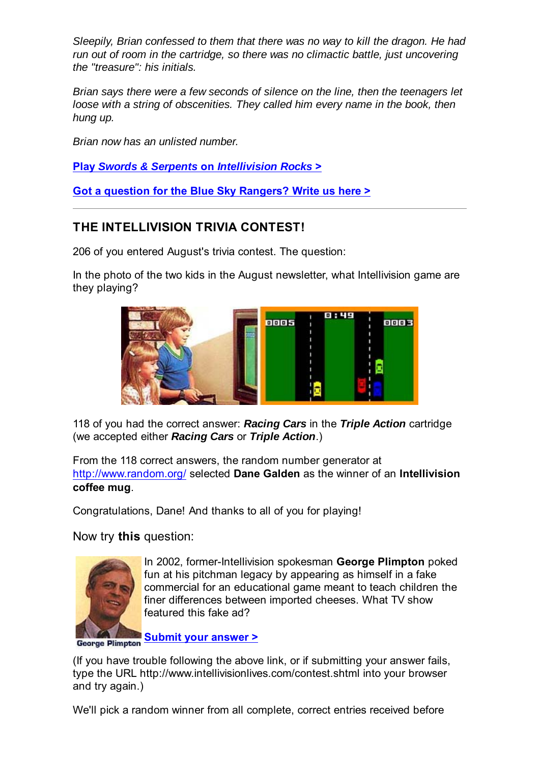*Sleepily, Brian confessed to them that there was no way to kill the dragon. He had run out of room in the cartridge, so there was no climactic battle, just uncovering the "treasure": his initials.*

*Brian says there were a few seconds of silence on the line, then the teenagers let loose with a string of obscenities. They called him every name in the book, then hung up.*

*Brian now has an unlisted number.*

**Play** *Swords & Serpents* **on** *Intellivision Rocks* **>**

**Got a question for the Blue Sky Rangers? Write us here >**

## **THE INTELLIVISION TRIVIA CONTEST!**

206 of you entered August's trivia contest. The question:

In the photo of the two kids in the August newsletter, what Intellivision game are they playing?



118 of you had the correct answer: *Racing Cars* in the *Triple Action* cartridge (we accepted either *Racing Cars* or *Triple Action*.)

From the 118 correct answers, the random number generator at http://www.random.org/ selected **Dane Galden** as the winner of an **Intellivision coffee mug**.

Congratulations, Dane! And thanks to all of you for playing!

Now try **this** question:



In 2002, former-Intellivision spokesman **George Plimpton** poked fun at his pitchman legacy by appearing as himself in a fake commercial for an educational game meant to teach children the finer differences between imported cheeses. What TV show featured this fake ad?

**Submit your answer >**

(If you have trouble following the above link, or if submitting your answer fails, type the URL http://www.intellivisionlives.com/contest.shtml into your browser and try again.)

We'll pick a random winner from all complete, correct entries received before